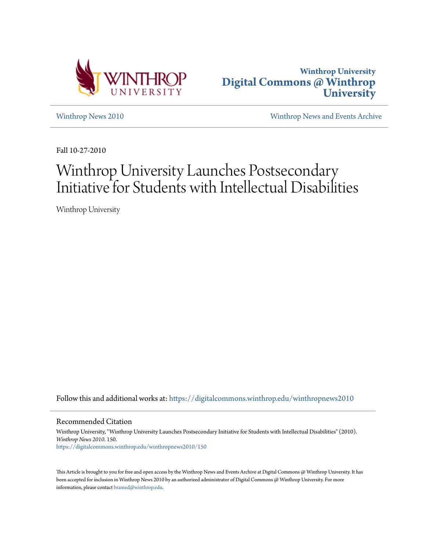



[Winthrop News 2010](https://digitalcommons.winthrop.edu/winthropnews2010?utm_source=digitalcommons.winthrop.edu%2Fwinthropnews2010%2F150&utm_medium=PDF&utm_campaign=PDFCoverPages) [Winthrop News and Events Archive](https://digitalcommons.winthrop.edu/winthropnewsarchives?utm_source=digitalcommons.winthrop.edu%2Fwinthropnews2010%2F150&utm_medium=PDF&utm_campaign=PDFCoverPages)

Fall 10-27-2010

# Winthrop University Launches Postsecondary Initiative for Students with Intellectual Disabilities

Winthrop University

Follow this and additional works at: [https://digitalcommons.winthrop.edu/winthropnews2010](https://digitalcommons.winthrop.edu/winthropnews2010?utm_source=digitalcommons.winthrop.edu%2Fwinthropnews2010%2F150&utm_medium=PDF&utm_campaign=PDFCoverPages)

Recommended Citation

Winthrop University, "Winthrop University Launches Postsecondary Initiative for Students with Intellectual Disabilities" (2010). *Winthrop News 2010*. 150. [https://digitalcommons.winthrop.edu/winthropnews2010/150](https://digitalcommons.winthrop.edu/winthropnews2010/150?utm_source=digitalcommons.winthrop.edu%2Fwinthropnews2010%2F150&utm_medium=PDF&utm_campaign=PDFCoverPages)

This Article is brought to you for free and open access by the Winthrop News and Events Archive at Digital Commons @ Winthrop University. It has been accepted for inclusion in Winthrop News 2010 by an authorized administrator of Digital Commons @ Winthrop University. For more information, please contact [bramed@winthrop.edu](mailto:bramed@winthrop.edu).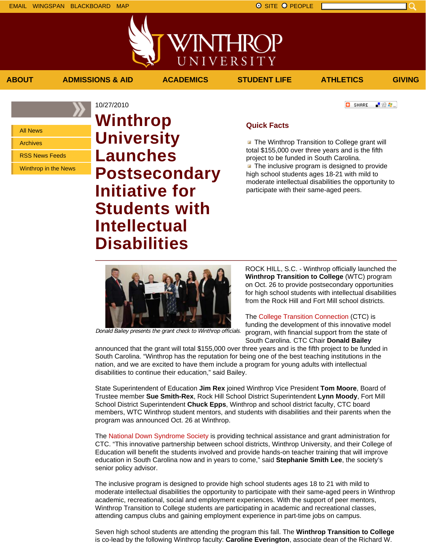上脸身。

**O** SHARE

All News

Archives

RSS News Feeds

Winthrop in the News

10/27/2010 **Winthrop University Launches Postsecondary Initiative for Students with Intellectual Disabilities**

## **Quick Facts**

**ABOUT ADMISSIONS & AID ACADEMICS STUDENT LIFE ATHLETICS GIVING**

VINTHRC

UNIVERSITY

**The Winthrop Transition to College grant will** total \$155,000 over three years and is the fifth project to be funded in South Carolina.  $\blacksquare$  The inclusive program is designed to provide high school students ages 18-21 with mild to moderate intellectual disabilities the opportunity to participate with their same-aged peers.



Donald Bailey presents the grant check to Winthrop officials.

ROCK HILL, S.C. - Winthrop officially launched the **Winthrop Transition to College** (WTC) program on Oct. 26 to provide postsecondary opportunities for high school students with intellectual disabilities from the Rock Hill and Fort Mill school districts.

## The College Transition Connection (CTC) is

funding the development of this innovative model program, with financial support from the state of South Carolina. CTC Chair **Donald Bailey**

announced that the grant will total \$155,000 over three years and is the fifth project to be funded in South Carolina. "Winthrop has the reputation for being one of the best teaching institutions in the nation, and we are excited to have them include a program for young adults with intellectual disabilities to continue their education," said Bailey.

State Superintendent of Education **Jim Rex** joined Winthrop Vice President **Tom Moore**, Board of Trustee member **Sue Smith-Rex**, Rock Hill School District Superintendent **Lynn Moody**, Fort Mill School District Superintendent **Chuck Epps**, Winthrop and school district faculty, CTC board members, WTC Winthrop student mentors, and students with disabilities and their parents when the program was announced Oct. 26 at Winthrop.

The National Down Syndrome Society is providing technical assistance and grant administration for CTC. "This innovative partnership between school districts, Winthrop University, and their College of Education will benefit the students involved and provide hands-on teacher training that will improve education in South Carolina now and in years to come," said **Stephanie Smith Lee**, the society's senior policy advisor.

The inclusive program is designed to provide high school students ages 18 to 21 with mild to moderate intellectual disabilities the opportunity to participate with their same-aged peers in Winthrop academic, recreational, social and employment experiences. With the support of peer mentors, Winthrop Transition to College students are participating in academic and recreational classes, attending campus clubs and gaining employment experience in part-time jobs on campus.

Seven high school students are attending the program this fall. The **Winthrop Transition to College** is co-lead by the following Winthrop faculty: **Caroline Everington**, associate dean of the Richard W.